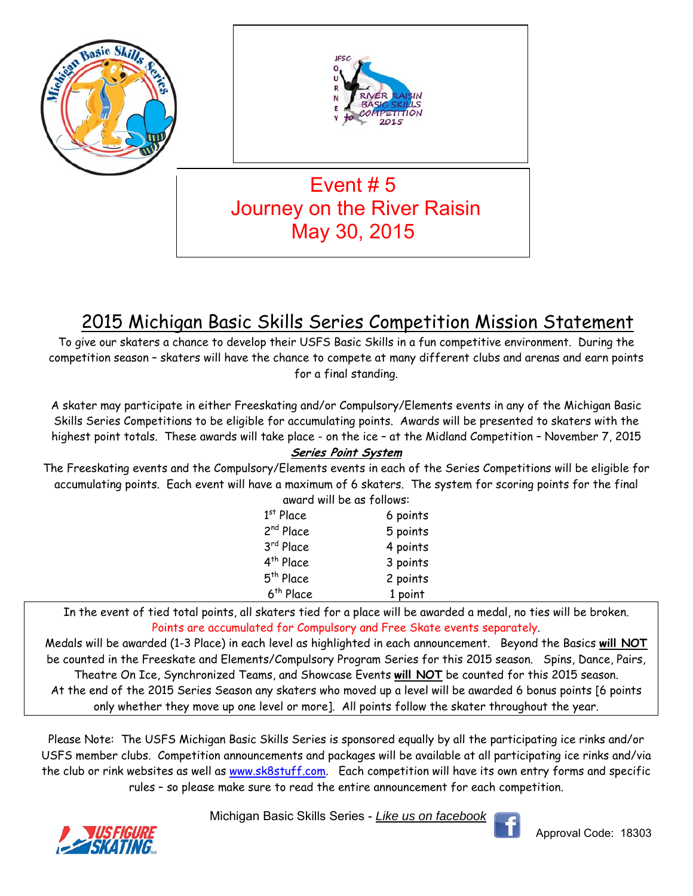

## 2015 Michigan Basic Skills Series Competition Mission Statement

To give our skaters a chance to develop their USFS Basic Skills in a fun competitive environment. During the competition season – skaters will have the chance to compete at many different clubs and arenas and earn points for a final standing.

A skater may participate in either Freeskating and/or Compulsory/Elements events in any of the Michigan Basic Skills Series Competitions to be eligible for accumulating points. Awards will be presented to skaters with the highest point totals. These awards will take place - on the ice – at the Midland Competition – November 7, 2015 **Series Point System** 

#### The Freeskating events and the Compulsory/Elements events in each of the Series Competitions will be eligible for accumulating points. Each event will have a maximum of 6 skaters. The system for scoring points for the final award will be as follows:

| awai a will be as Tollows. |          |
|----------------------------|----------|
| $1st$ Place                | 6 points |
| 2 <sup>nd</sup> Place      | 5 points |
| 3rd Place                  | 4 points |
| 4 <sup>th</sup> Place      | 3 points |
| 5 <sup>th</sup> Place      | 2 points |
| 6 <sup>th</sup> Place      | 1 point  |

In the event of tied total points, all skaters tied for a place will be awarded a medal, no ties will be broken. Points are accumulated for Compulsory and Free Skate events separately.

Medals will be awarded (1-3 Place) in each level as highlighted in each announcement. Beyond the Basics **will NOT** be counted in the Freeskate and Elements/Compulsory Program Series for this 2015 season. Spins, Dance, Pairs, Theatre On Ice, Synchronized Teams, and Showcase Events **will NOT** be counted for this 2015 season. At the end of the 2015 Series Season any skaters who moved up a level will be awarded 6 bonus points [6 points only whether they move up one level or more]. All points follow the skater throughout the year.

Please Note: The USFS Michigan Basic Skills Series is sponsored equally by all the participating ice rinks and/or USFS member clubs. Competition announcements and packages will be available at all participating ice rinks and/via the club or rink websites as well as www.sk8stuff.com. Each competition will have its own entry forms and specific rules – so please make sure to read the entire announcement for each competition.

Michigan Basic Skills Series - *Like us on facebook*



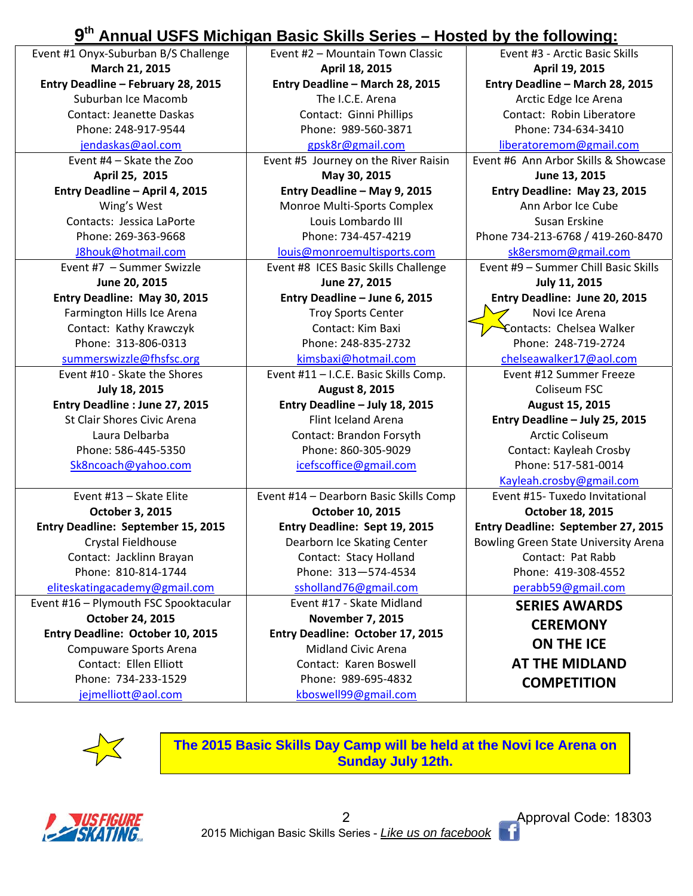## **9th Annual USFS Michigan Basic Skills Series – Hosted by the following:**

| Event #1 Onyx-Suburban B/S Challenge      | Event #2 - Mountain Town Classic       | Event #3 - Arctic Basic Skills       |
|-------------------------------------------|----------------------------------------|--------------------------------------|
| March 21, 2015                            | April 18, 2015                         | April 19, 2015                       |
| Entry Deadline - February 28, 2015        | Entry Deadline - March 28, 2015        | Entry Deadline - March 28, 2015      |
| Suburban Ice Macomb                       | The I.C.E. Arena                       | Arctic Edge Ice Arena                |
| <b>Contact: Jeanette Daskas</b>           | Contact: Ginni Phillips                | Contact: Robin Liberatore            |
| Phone: 248-917-9544                       | Phone: 989-560-3871                    | Phone: 734-634-3410                  |
| jendaskas@aol.com                         | gpsk8r@gmail.com                       | liberatoremom@gmail.com              |
| Event #4 - Skate the Zoo                  | Event #5 Journey on the River Raisin   | Event #6 Ann Arbor Skills & Showcase |
| April 25, 2015                            | May 30, 2015                           | June 13, 2015                        |
| Entry Deadline - April 4, 2015            | Entry Deadline - May 9, 2015           | Entry Deadline: May 23, 2015         |
| Wing's West                               | Monroe Multi-Sports Complex            | Ann Arbor Ice Cube                   |
| Contacts: Jessica LaPorte                 | Louis Lombardo III                     | Susan Erskine                        |
| Phone: 269-363-9668                       | Phone: 734-457-4219                    | Phone 734-213-6768 / 419-260-8470    |
| J8houk@hotmail.com                        | louis@monroemultisports.com            | sk8ersmom@gmail.com                  |
| Event #7 - Summer Swizzle                 | Event #8 ICES Basic Skills Challenge   | Event #9 - Summer Chill Basic Skills |
| June 20, 2015                             | June 27, 2015                          | July 11, 2015                        |
| Entry Deadline: May 30, 2015              | Entry Deadline - June 6, 2015          | Entry Deadline: June 20, 2015        |
| Farmington Hills Ice Arena                | <b>Troy Sports Center</b>              | Novi Ice Arena                       |
| Contact: Kathy Krawczyk                   | Contact: Kim Baxi                      | Contacts: Chelsea Walker             |
| Phone: 313-806-0313                       | Phone: 248-835-2732                    | Phone: 248-719-2724                  |
| summerswizzle@fhsfsc.org                  | kimsbaxi@hotmail.com                   | chelseawalker17@aol.com              |
| Event #10 - Skate the Shores              | Event #11 - I.C.E. Basic Skills Comp.  | Event #12 Summer Freeze              |
| <b>July 18, 2015</b>                      | <b>August 8, 2015</b>                  | Coliseum FSC                         |
| Entry Deadline : June 27, 2015            | Entry Deadline - July 18, 2015         | August 15, 2015                      |
| St Clair Shores Civic Arena               | Flint Iceland Arena                    | Entry Deadline - July 25, 2015       |
| Laura Delbarba                            | Contact: Brandon Forsyth               | <b>Arctic Coliseum</b>               |
| Phone: 586-445-5350                       | Phone: 860-305-9029                    | Contact: Kayleah Crosby              |
| Sk8ncoach@yahoo.com                       | icefscoffice@gmail.com                 | Phone: 517-581-0014                  |
|                                           |                                        | Kayleah.crosby@gmail.com             |
| Event #13 - Skate Elite                   | Event #14 - Dearborn Basic Skills Comp | Event #15- Tuxedo Invitational       |
| October 3, 2015                           | October 10, 2015                       | October 18, 2015                     |
| <b>Entry Deadline: September 15, 2015</b> | Entry Deadline: Sept 19, 2015          | Entry Deadline: September 27, 2015   |
| Crystal Fieldhouse                        | Dearborn Ice Skating Center            | Bowling Green State University Arena |
| Contact: Jacklinn Brayan                  | Contact: Stacy Holland                 | Contact: Pat Rabb                    |
| Phone: 810-814-1744                       | Phone: 313-574-4534                    | Phone: 419-308-4552                  |
| eliteskatingacademy@gmail.com             | ssholland76@gmail.com                  | perabb59@gmail.com                   |
| Event #16 - Plymouth FSC Spooktacular     | Event #17 - Skate Midland              | <b>SERIES AWARDS</b>                 |
| October 24, 2015                          | <b>November 7, 2015</b>                | <b>CEREMONY</b>                      |
| Entry Deadline: October 10, 2015          | Entry Deadline: October 17, 2015       |                                      |
| Compuware Sports Arena                    | <b>Midland Civic Arena</b>             | <b>ON THE ICE</b>                    |
| Contact: Ellen Elliott                    | Contact: Karen Boswell                 | <b>AT THE MIDLAND</b>                |
| Phone: 734-233-1529                       | Phone: 989-695-4832                    | <b>COMPETITION</b>                   |
| jejmelliott@aol.com                       | kboswell99@gmail.com                   |                                      |



**The 2015 Basic Skills Day Camp will be held at the Novi Ice Arena on Sunday July 12th.** 



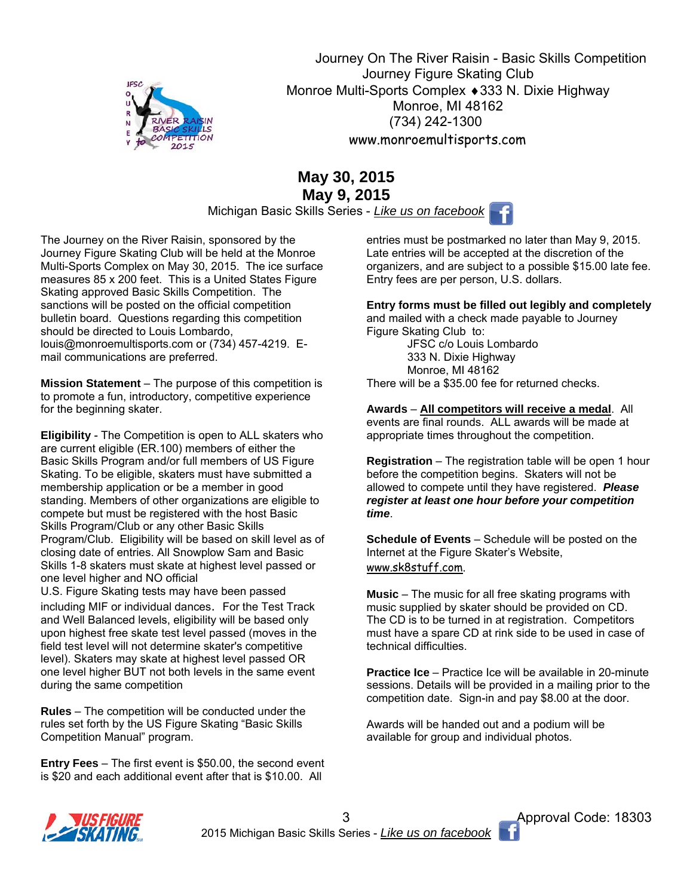

 Journey On The River Raisin - Basic Skills Competition Journey Figure Skating Club Monroe Multi-Sports Complex ♦ 333 N. Dixie Highway Monroe, MI 48162 (734) 242-1300 www.monroemultisports.com

## **May 30, 2015 May 9, 2015**

Michigan Basic Skills Series - *Like us on facebook*

The Journey on the River Raisin, sponsored by the Journey Figure Skating Club will be held at the Monroe Multi-Sports Complex on May 30, 2015. The ice surface measures 85 x 200 feet. This is a United States Figure Skating approved Basic Skills Competition. The sanctions will be posted on the official competition bulletin board. Questions regarding this competition should be directed to Louis Lombardo, louis@monroemultisports.com or (734) 457-4219. Email communications are preferred.

**Mission Statement** – The purpose of this competition is to promote a fun, introductory, competitive experience for the beginning skater.

**Eligibility** - The Competition is open to ALL skaters who are current eligible (ER.100) members of either the Basic Skills Program and/or full members of US Figure Skating. To be eligible, skaters must have submitted a membership application or be a member in good standing. Members of other organizations are eligible to compete but must be registered with the host Basic Skills Program/Club or any other Basic Skills Program/Club. Eligibility will be based on skill level as of closing date of entries. All Snowplow Sam and Basic Skills 1-8 skaters must skate at highest level passed or one level higher and NO official

U.S. Figure Skating tests may have been passed including MIF or individual dances. For the Test Track and Well Balanced levels, eligibility will be based only upon highest free skate test level passed (moves in the field test level will not determine skater's competitive level). Skaters may skate at highest level passed OR one level higher BUT not both levels in the same event during the same competition

**Rules** – The competition will be conducted under the rules set forth by the US Figure Skating "Basic Skills Competition Manual" program.

**Entry Fees** – The first event is \$50.00, the second event is \$20 and each additional event after that is \$10.00. All

entries must be postmarked no later than May 9, 2015. Late entries will be accepted at the discretion of the organizers, and are subject to a possible \$15.00 late fee. Entry fees are per person, U.S. dollars.

**Entry forms must be filled out legibly and completely**  and mailed with a check made payable to Journey

Figure Skating Club to: JFSC c/o Louis Lombardo 333 N. Dixie Highway Monroe, MI 48162 There will be a \$35.00 fee for returned checks.

**Awards** – **All competitors will receive a medal**. All events are final rounds. ALL awards will be made at appropriate times throughout the competition.

**Registration** – The registration table will be open 1 hour before the competition begins. Skaters will not be allowed to compete until they have registered. *Please register at least one hour before your competition time*.

**Schedule of Events** – Schedule will be posted on the Internet at the Figure Skater's Website, www.sk8stuff.com.

**Music** – The music for all free skating programs with music supplied by skater should be provided on CD. The CD is to be turned in at registration. Competitors must have a spare CD at rink side to be used in case of technical difficulties.

**Practice Ice** – Practice Ice will be available in 20-minute sessions. Details will be provided in a mailing prior to the competition date. Sign-in and pay \$8.00 at the door.

Awards will be handed out and a podium will be available for group and individual photos.



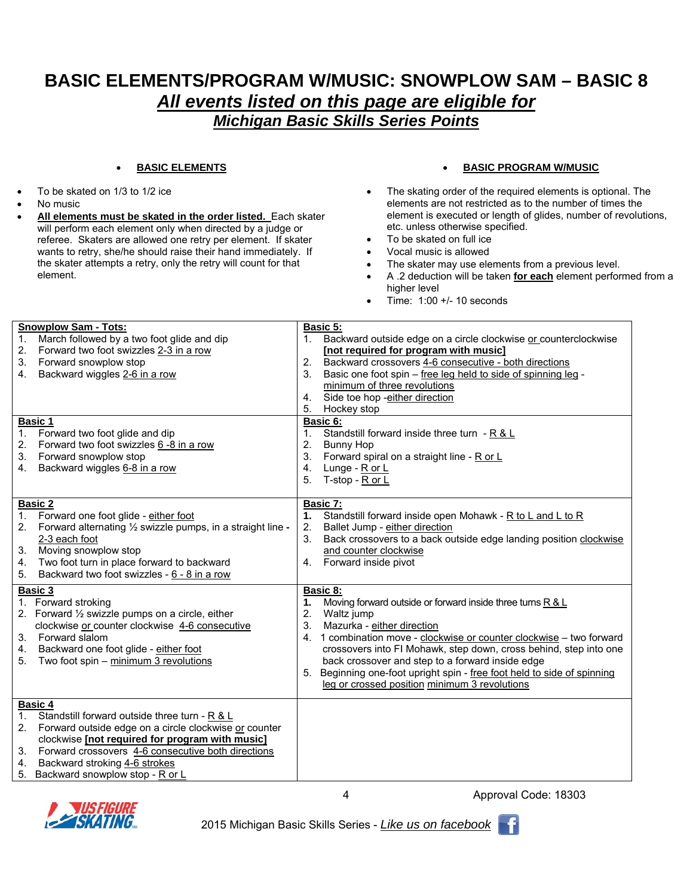## **BASIC ELEMENTS/PROGRAM W/MUSIC: SNOWPLOW SAM – BASIC 8**  *All events listed on this page are eligible for Michigan Basic Skills Series Points*

#### **BASIC ELEMENTS**

- To be skated on 1/3 to 1/2 ice
- No music
- **All elements must be skated in the order listed.** Each skater will perform each element only when directed by a judge or referee. Skaters are allowed one retry per element. If skater wants to retry, she/he should raise their hand immediately. If the skater attempts a retry, only the retry will count for that element.

#### **BASIC PROGRAM W/MUSIC**

- The skating order of the required elements is optional. The elements are not restricted as to the number of times the element is executed or length of glides, number of revolutions, etc. unless otherwise specified.
- To be skated on full ice
- Vocal music is allowed
- The skater may use elements from a previous level.
- A .2 deduction will be taken **for each** element performed from a higher level
- $\bullet$  Time: 1:00 +/- 10 seconds

| <b>Snowplow Sam - Tots:</b><br>March followed by a two foot glide and dip<br>Forward two foot swizzles 2-3 in a row<br>2.<br>Forward snowplow stop<br>3.<br>Backward wiggles 2-6 in a row<br>4.                                                                                                                              | <b>Basic 5:</b><br>Backward outside edge on a circle clockwise or counterclockwise<br>1.<br>[not required for program with music]<br>Backward crossovers 4-6 consecutive - both directions<br>2.<br>3.<br>Basic one foot spin - free leg held to side of spinning leg -<br>minimum of three revolutions<br>Side toe hop -either direction<br>4.<br>5.<br>Hockey stop                                                                                                        |
|------------------------------------------------------------------------------------------------------------------------------------------------------------------------------------------------------------------------------------------------------------------------------------------------------------------------------|-----------------------------------------------------------------------------------------------------------------------------------------------------------------------------------------------------------------------------------------------------------------------------------------------------------------------------------------------------------------------------------------------------------------------------------------------------------------------------|
| <b>Basic 1</b><br>Forward two foot glide and dip<br>Forward two foot swizzles 6 -8 in a row<br>2.<br>Forward snowplow stop<br>3.<br>Backward wiggles 6-8 in a row<br>4.                                                                                                                                                      | Basic 6:<br>Standstill forward inside three turn - R & L<br>1.<br>2.<br><b>Bunny Hop</b><br>3.<br>Forward spiral on a straight line - R or L<br>4.<br>Lunge - R or L<br>5.<br>T-stop - R or L                                                                                                                                                                                                                                                                               |
| Basic 2<br>1.<br>Forward one foot glide - either foot<br>Forward alternating 1/2 swizzle pumps, in a straight line -<br>2.<br>2-3 each foot<br>Moving snowplow stop<br>3.<br>Two foot turn in place forward to backward<br>4.<br>Backward two foot swizzles - 6 - 8 in a row<br>5.                                           | Basic 7:<br>Standstill forward inside open Mohawk - R to L and L to R<br>1.<br>Ballet Jump - either direction<br>2.<br>3.<br>Back crossovers to a back outside edge landing position clockwise<br>and counter clockwise<br>Forward inside pivot<br>4.                                                                                                                                                                                                                       |
| Basic 3<br>1. Forward stroking<br>2. Forward 1/2 swizzle pumps on a circle, either<br>clockwise or counter clockwise 4-6 consecutive<br>Forward slalom<br>3.<br>Backward one foot glide - either foot<br>4.<br>Two foot spin - minimum 3 revolutions<br>5.                                                                   | <b>Basic 8:</b><br>Moving forward outside or forward inside three turns R & L<br>1.<br>2.<br>Waltz jump<br>3.<br>Mazurka - either direction<br>1 combination move - clockwise or counter clockwise - two forward<br>4.<br>crossovers into FI Mohawk, step down, cross behind, step into one<br>back crossover and step to a forward inside edge<br>5. Beginning one-foot upright spin - free foot held to side of spinning<br>leg or crossed position minimum 3 revolutions |
| Basic 4<br>Standstill forward outside three turn - R & L<br>1.<br>Forward outside edge on a circle clockwise or counter<br>2.<br>clockwise [not required for program with music]<br>Forward crossovers 4-6 consecutive both directions<br>3.<br>Backward stroking 4-6 strokes<br>4.<br>Backward snowplow stop - R or L<br>5. |                                                                                                                                                                                                                                                                                                                                                                                                                                                                             |



4



- 1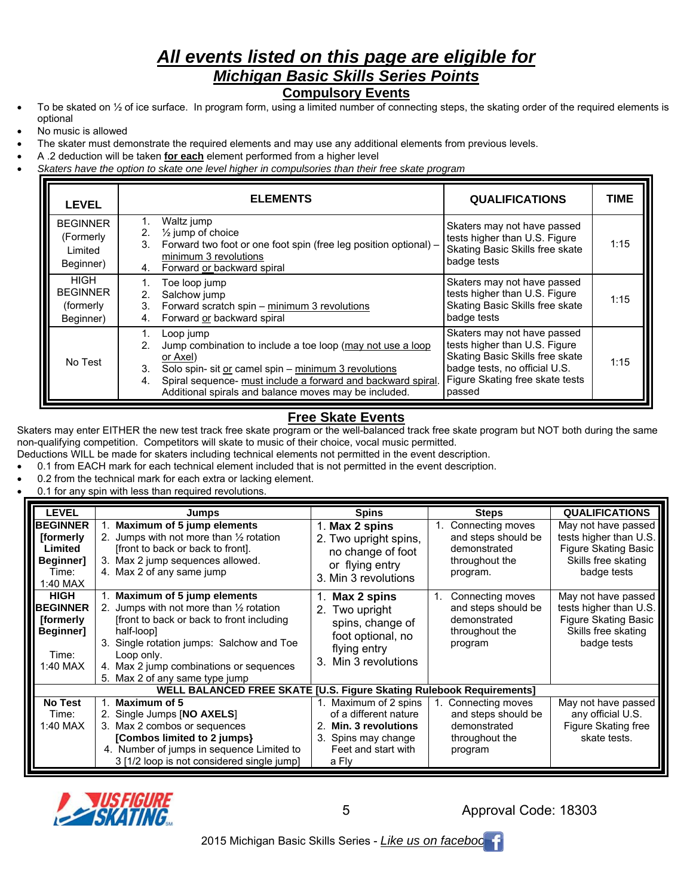## *All events listed on this page are eligible for Michigan Basic Skills Series Points*

#### **Compulsory Events**

- To be skated on  $\frac{1}{2}$  of ice surface. In program form, using a limited number of connecting steps, the skating order of the required elements is optional
- No music is allowed
- The skater must demonstrate the required elements and may use any additional elements from previous levels.
- A .2 deduction will be taken **for each** element performed from a higher level
- *Skaters have the option to skate one level higher in compulsories than their free skate program*

| <b>LEVEL</b>                                              | <b>ELEMENTS</b>                                                                                                                                                                                                                                                                        | <b>QUALIFICATIONS</b>                                                                                                                                                         | <b>TIME</b> |
|-----------------------------------------------------------|----------------------------------------------------------------------------------------------------------------------------------------------------------------------------------------------------------------------------------------------------------------------------------------|-------------------------------------------------------------------------------------------------------------------------------------------------------------------------------|-------------|
| <b>BEGINNER</b><br>(Formerly<br>Limited<br>Beginner)      | Waltz jump<br>$\frac{1}{2}$ jump of choice<br>2.<br>Forward two foot or one foot spin (free leg position optional) -<br>3.<br>minimum 3 revolutions<br>Forward or backward spiral<br>4.                                                                                                | Skaters may not have passed<br>tests higher than U.S. Figure<br>Skating Basic Skills free skate<br>badge tests                                                                | 1:15        |
| <b>HIGH</b><br><b>BEGINNER</b><br>(formerly)<br>Beginner) | Toe loop jump<br>Salchow jump<br>2 <sup>2</sup><br>Forward scratch spin - minimum 3 revolutions<br>3.<br>Forward or backward spiral<br>4.                                                                                                                                              | Skaters may not have passed<br>tests higher than U.S. Figure<br>Skating Basic Skills free skate<br>badge tests                                                                | 1:15        |
| No Test                                                   | Loop jump<br>Jump combination to include a toe loop (may not use a loop<br>2.<br>or Axel)<br>Solo spin- sit or camel spin - minimum 3 revolutions<br>3.<br>Spiral sequence- must include a forward and backward spiral.<br>4.<br>Additional spirals and balance moves may be included. | Skaters may not have passed<br>tests higher than U.S. Figure<br>Skating Basic Skills free skate<br>badge tests, no official U.S.<br>Figure Skating free skate tests<br>passed | 1:15        |

#### **Free Skate Events**

Skaters may enter EITHER the new test track free skate program or the well-balanced track free skate program but NOT both during the same non-qualifying competition. Competitors will skate to music of their choice, vocal music permitted.

Deductions WILL be made for skaters including technical elements not permitted in the event description.

- 0.1 from EACH mark for each technical element included that is not permitted in the event description.
- 0.2 from the technical mark for each extra or lacking element.
- 0.1 for any spin with less than required revolutions.

| <b>LEVEL</b>                                                                     | Jumps                                                                                                                                                                                                                                                                                | <b>Spins</b>                                                                                                                | <b>Steps</b>                                                                               | <b>QUALIFICATIONS</b>                                                                                       |
|----------------------------------------------------------------------------------|--------------------------------------------------------------------------------------------------------------------------------------------------------------------------------------------------------------------------------------------------------------------------------------|-----------------------------------------------------------------------------------------------------------------------------|--------------------------------------------------------------------------------------------|-------------------------------------------------------------------------------------------------------------|
| <b>BEGINNER</b><br><b>fformerly</b><br>Limited<br>Beginner]<br>Time:<br>1:40 MAX | Maximum of 5 jump elements<br>2. Jumps with not more than $\frac{1}{2}$ rotation<br>[front to back or back to front].<br>3. Max 2 jump sequences allowed.<br>4. Max 2 of any same jump                                                                                               | 1. Max 2 spins<br>2. Two upright spins,<br>no change of foot<br>or flying entry<br>3. Min 3 revolutions                     | Connecting moves<br>and steps should be<br>demonstrated<br>throughout the<br>program.      | May not have passed<br>tests higher than U.S.<br>Figure Skating Basic<br>Skills free skating<br>badge tests |
| <b>HIGH</b><br><b>BEGINNER</b><br>[formerly<br>Beginner]<br>Time:<br>1:40 MAX    | Maximum of 5 jump elements<br>2. Jumps with not more than $\frac{1}{2}$ rotation<br>[front to back or back to front including]<br>half-loop]<br>3. Single rotation jumps: Salchow and Toe<br>Loop only.<br>4. Max 2 jump combinations or sequences<br>5. Max 2 of any same type jump | 1. Max 2 spins<br>2. Two upright<br>spins, change of<br>foot optional, no<br>flying entry<br>3. Min 3 revolutions           | Connecting moves<br>1.<br>and steps should be<br>demonstrated<br>throughout the<br>program | May not have passed<br>tests higher than U.S.<br>Figure Skating Basic<br>Skills free skating<br>badge tests |
|                                                                                  | WELL BALANCED FREE SKATE [U.S. Figure Skating Rulebook Requirements]                                                                                                                                                                                                                 |                                                                                                                             |                                                                                            |                                                                                                             |
| <b>No Test</b><br>Time:<br>1:40 MAX                                              | Maximum of 5<br>2. Single Jumps [NO AXELS]<br>3. Max 2 combos or sequences<br>[Combos limited to 2 jumps]<br>4. Number of jumps in sequence Limited to<br>3 [1/2 loop is not considered single jump]                                                                                 | 1. Maximum of 2 spins<br>of a different nature<br>Min. 3 revolutions<br>3. Spins may change<br>Feet and start with<br>a Fly | 1. Connecting moves<br>and steps should be<br>demonstrated<br>throughout the<br>program    | May not have passed<br>any official U.S.<br>Figure Skating free<br>skate tests.                             |



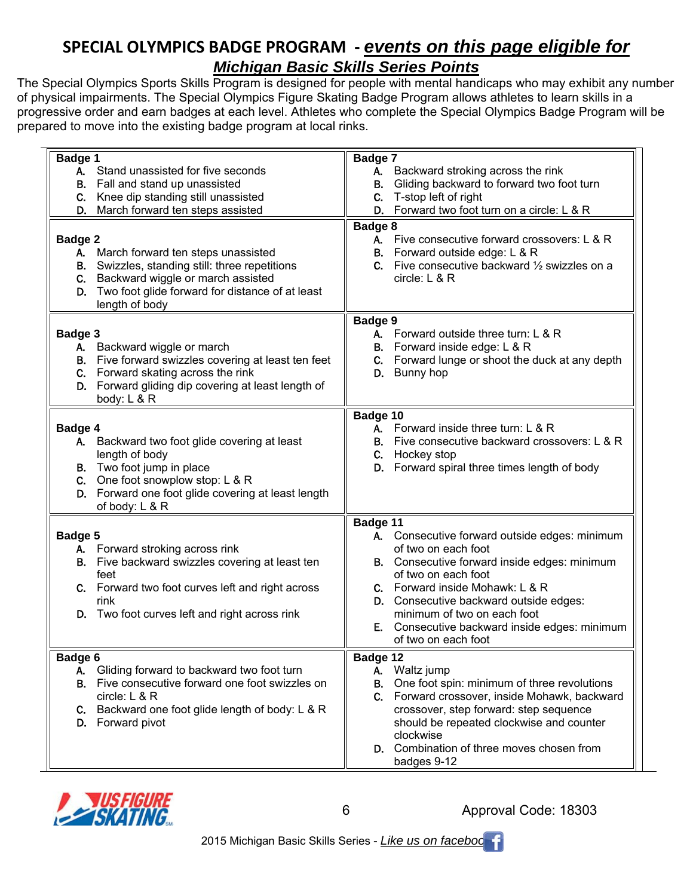## **SPECIAL OLYMPICS BADGE PROGRAM ‐** *events on this page eligible for*

## *Michigan Basic Skills Series Points*

The Special Olympics Sports Skills Program is designed for people with mental handicaps who may exhibit any number of physical impairments. The Special Olympics Figure Skating Badge Program allows athletes to learn skills in a progressive order and earn badges at each level. Athletes who complete the Special Olympics Badge Program will be prepared to move into the existing badge program at local rinks.

| <b>Badge 1</b>                                                                                                                                                                                                        | Badge 7                                                                                                                                                                               |
|-----------------------------------------------------------------------------------------------------------------------------------------------------------------------------------------------------------------------|---------------------------------------------------------------------------------------------------------------------------------------------------------------------------------------|
| A. Stand unassisted for five seconds                                                                                                                                                                                  | A. Backward stroking across the rink                                                                                                                                                  |
| <b>B.</b> Fall and stand up unassisted                                                                                                                                                                                | Gliding backward to forward two foot turn<br>В.                                                                                                                                       |
| C. Knee dip standing still unassisted                                                                                                                                                                                 | T-stop left of right<br>C.                                                                                                                                                            |
| D. March forward ten steps assisted                                                                                                                                                                                   | Forward two foot turn on a circle: L & R<br>D.                                                                                                                                        |
| Badge 2<br>A. March forward ten steps unassisted<br>B. Swizzles, standing still: three repetitions<br>C. Backward wiggle or march assisted<br>Two foot glide forward for distance of at least<br>D.<br>length of body | Badge 8<br>A. Five consecutive forward crossovers: L & R<br><b>B.</b> Forward outside edge: L & R<br><b>C.</b> Five consecutive backward $\frac{1}{2}$ swizzles on a<br>circle: L & R |
|                                                                                                                                                                                                                       | Badge 9                                                                                                                                                                               |
| Badge 3                                                                                                                                                                                                               | A. Forward outside three turn: L & R                                                                                                                                                  |
| A. Backward wiggle or march                                                                                                                                                                                           | Forward inside edge: L & R<br>В.                                                                                                                                                      |
| <b>B.</b> Five forward swizzles covering at least ten feet<br>C. Forward skating across the rink                                                                                                                      | Forward lunge or shoot the duck at any depth<br>C.<br>Bunny hop                                                                                                                       |
| D. Forward gliding dip covering at least length of                                                                                                                                                                    | D.                                                                                                                                                                                    |
| body: L & R                                                                                                                                                                                                           |                                                                                                                                                                                       |
|                                                                                                                                                                                                                       | Badge 10                                                                                                                                                                              |
| Badge 4                                                                                                                                                                                                               | A. Forward inside three turn: L & R                                                                                                                                                   |
| A. Backward two foot glide covering at least                                                                                                                                                                          | Five consecutive backward crossovers: L & R<br>В.                                                                                                                                     |
| length of body                                                                                                                                                                                                        | Hockey stop<br>C.                                                                                                                                                                     |
| <b>B.</b> Two foot jump in place                                                                                                                                                                                      | Forward spiral three times length of body<br>D.                                                                                                                                       |
| C. One foot snowplow stop: $L & R$                                                                                                                                                                                    |                                                                                                                                                                                       |
| D. Forward one foot glide covering at least length                                                                                                                                                                    |                                                                                                                                                                                       |
| of body: L & R                                                                                                                                                                                                        |                                                                                                                                                                                       |
|                                                                                                                                                                                                                       | Badge 11                                                                                                                                                                              |
| Badge 5                                                                                                                                                                                                               | A. Consecutive forward outside edges: minimum                                                                                                                                         |
| A. Forward stroking across rink<br>B. Five backward swizzles covering at least ten                                                                                                                                    | of two on each foot<br>B. Consecutive forward inside edges: minimum                                                                                                                   |
| feet                                                                                                                                                                                                                  | of two on each foot                                                                                                                                                                   |
| C. Forward two foot curves left and right across                                                                                                                                                                      | C. Forward inside Mohawk: L & R                                                                                                                                                       |
| rink                                                                                                                                                                                                                  | D. Consecutive backward outside edges:                                                                                                                                                |
| D. Two foot curves left and right across rink                                                                                                                                                                         | minimum of two on each foot                                                                                                                                                           |
|                                                                                                                                                                                                                       | E. Consecutive backward inside edges: minimum                                                                                                                                         |
|                                                                                                                                                                                                                       | of two on each foot                                                                                                                                                                   |
| Badge 6                                                                                                                                                                                                               | Badge 12                                                                                                                                                                              |
| Gliding forward to backward two foot turn<br>А.                                                                                                                                                                       | A. Waltz jump                                                                                                                                                                         |
| <b>B.</b> Five consecutive forward one foot swizzles on                                                                                                                                                               | One foot spin: minimum of three revolutions<br>В.                                                                                                                                     |
| circle: L & R                                                                                                                                                                                                         | C.<br>Forward crossover, inside Mohawk, backward                                                                                                                                      |
| Backward one foot glide length of body: L & R<br>C.                                                                                                                                                                   | crossover, step forward: step sequence                                                                                                                                                |
| D. Forward pivot                                                                                                                                                                                                      | should be repeated clockwise and counter                                                                                                                                              |
|                                                                                                                                                                                                                       | clockwise<br>D. Combination of three moves chosen from                                                                                                                                |
|                                                                                                                                                                                                                       | badges 9-12                                                                                                                                                                           |
|                                                                                                                                                                                                                       |                                                                                                                                                                                       |



6

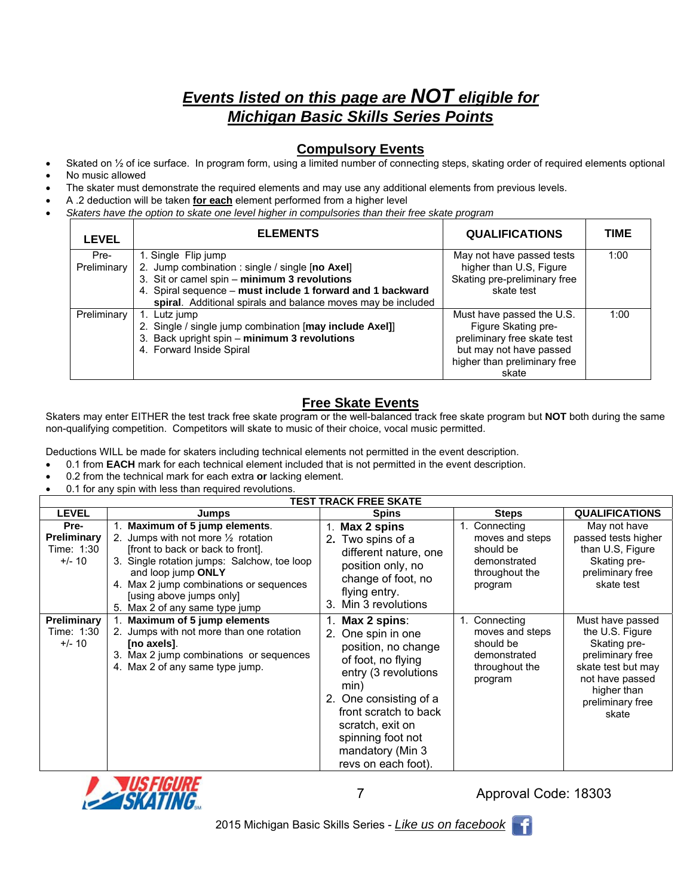## *Events listed on this page are NOT eligible for Michigan Basic Skills Series Points*

#### **Compulsory Events**

- Skated on  $\frac{1}{2}$  of ice surface. In program form, using a limited number of connecting steps, skating order of required elements optional
- No music allowed
- The skater must demonstrate the required elements and may use any additional elements from previous levels.
- A .2 deduction will be taken **for each** element performed from a higher level
- *Skaters have the option to skate one level higher in compulsories than their free skate program*

| <b>LEVEL</b>        | <b>ELEMENTS</b>                                                                                                                                                                                                                                      | <b>QUALIFICATIONS</b>                                                                                                                               | <b>TIME</b> |
|---------------------|------------------------------------------------------------------------------------------------------------------------------------------------------------------------------------------------------------------------------------------------------|-----------------------------------------------------------------------------------------------------------------------------------------------------|-------------|
| Pre-<br>Preliminary | 1. Single Flip jump<br>2. Jump combination : single / single [no Axel]<br>3. Sit or camel spin - minimum 3 revolutions<br>4. Spiral sequence - must include 1 forward and 1 backward<br>spiral. Additional spirals and balance moves may be included | May not have passed tests<br>higher than U.S, Figure<br>Skating pre-preliminary free<br>skate test                                                  | 1:00        |
| Preliminary         | 1. Lutz jump<br>2. Single / single jump combination [may include Axel]]<br>3. Back upright spin - minimum 3 revolutions<br>4. Forward Inside Spiral                                                                                                  | Must have passed the U.S.<br>Figure Skating pre-<br>preliminary free skate test<br>but may not have passed<br>higher than preliminary free<br>skate | 1:00        |

## **Free Skate Events**

Skaters may enter EITHER the test track free skate program or the well-balanced track free skate program but **NOT** both during the same non-qualifying competition. Competitors will skate to music of their choice, vocal music permitted.

Deductions WILL be made for skaters including technical elements not permitted in the event description.

- 0.1 from **EACH** mark for each technical element included that is not permitted in the event description.
- 0.2 from the technical mark for each extra **or** lacking element.
- 0.1 for any spin with less than required revolutions.

|                                                      |                                                                                                                                                                                                                                                                                                  | <b>TEST TRACK FREE SKATE</b>                                                                                                                                                                                                                              |                                                                                            |                                                                                                                                                              |
|------------------------------------------------------|--------------------------------------------------------------------------------------------------------------------------------------------------------------------------------------------------------------------------------------------------------------------------------------------------|-----------------------------------------------------------------------------------------------------------------------------------------------------------------------------------------------------------------------------------------------------------|--------------------------------------------------------------------------------------------|--------------------------------------------------------------------------------------------------------------------------------------------------------------|
| <b>LEVEL</b>                                         | Jumps                                                                                                                                                                                                                                                                                            | <b>Spins</b>                                                                                                                                                                                                                                              | <b>Steps</b>                                                                               | <b>QUALIFICATIONS</b>                                                                                                                                        |
| Pre-<br><b>Preliminary</b><br>Time: 1:30<br>$+/- 10$ | Maximum of 5 jump elements.<br>2. Jumps with not more $\frac{1}{2}$ rotation<br>front to back or back to front.<br>3. Single rotation jumps: Salchow, toe loop<br>and loop jump ONLY<br>4. Max 2 jump combinations or sequences<br>[using above jumps only]<br>Max 2 of any same type jump<br>5. | Max 2 spins<br>2. Two spins of a<br>different nature, one<br>position only, no<br>change of foot, no<br>flying entry.<br>Min 3 revolutions<br>3.                                                                                                          | Connecting<br>moves and steps<br>should be<br>demonstrated<br>throughout the<br>program    | May not have<br>passed tests higher<br>than U.S, Figure<br>Skating pre-<br>preliminary free<br>skate test                                                    |
| <b>Preliminary</b><br>Time: 1:30<br>$+/- 10$         | Maximum of 5 jump elements<br>2. Jumps with not more than one rotation<br>[no axels].<br>3. Max 2 jump combinations or sequences<br>4. Max 2 of any same type jump.                                                                                                                              | 1. Max 2 spins:<br>2. One spin in one<br>position, no change<br>of foot, no flying<br>entry (3 revolutions<br>min)<br>2. One consisting of a<br>front scratch to back<br>scratch, exit on<br>spinning foot not<br>mandatory (Min 3<br>revs on each foot). | 1. Connecting<br>moves and steps<br>should be<br>demonstrated<br>throughout the<br>program | Must have passed<br>the U.S. Figure<br>Skating pre-<br>preliminary free<br>skate test but may<br>not have passed<br>higher than<br>preliminary free<br>skate |



7

Approval Code: 18303

- 11

2015 Michigan Basic Skills Series - *Like us on facebook*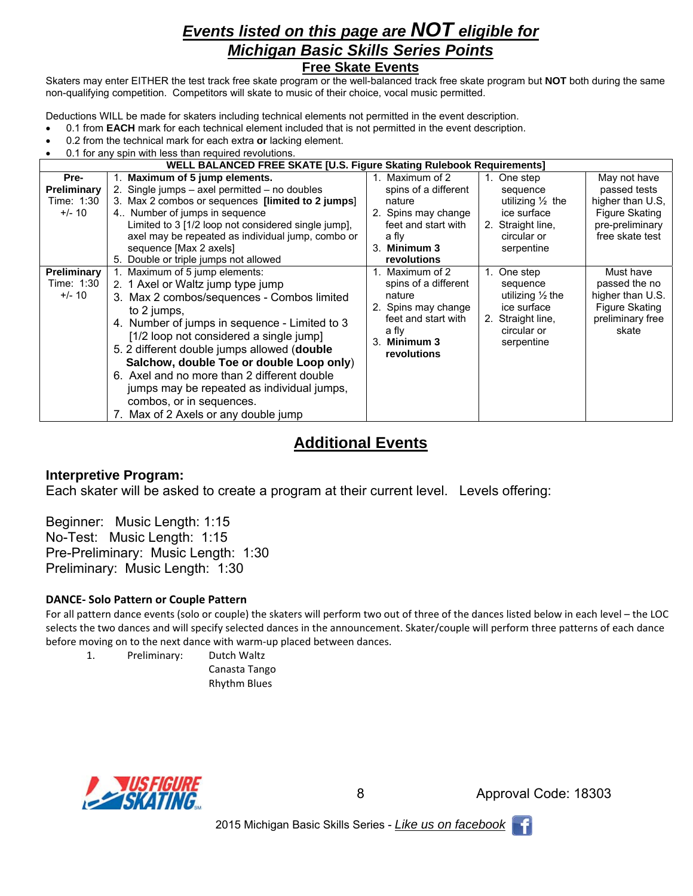## *Events listed on this page are NOT eligible for Michigan Basic Skills Series Points*  **Free Skate Events**

Skaters may enter EITHER the test track free skate program or the well-balanced track free skate program but **NOT** both during the same non-qualifying competition. Competitors will skate to music of their choice, vocal music permitted.

Deductions WILL be made for skaters including technical elements not permitted in the event description.

- 0.1 from **EACH** mark for each technical element included that is not permitted in the event description.
- 0.2 from the technical mark for each extra **or** lacking element.
- 0.1 for any spin with less than required revolutions.

|                                               | WELL BALANCED FREE SKATE [U.S. Figure Skating Rulebook Requirements]                                                                                                                                                                                                                                                                                                                                                                                                                     |                                                                                                                                                              |                                                                                                                                                                                                                                     |
|-----------------------------------------------|------------------------------------------------------------------------------------------------------------------------------------------------------------------------------------------------------------------------------------------------------------------------------------------------------------------------------------------------------------------------------------------------------------------------------------------------------------------------------------------|--------------------------------------------------------------------------------------------------------------------------------------------------------------|-------------------------------------------------------------------------------------------------------------------------------------------------------------------------------------------------------------------------------------|
| Pre-<br>Preliminary<br>Time: 1:30<br>$+/- 10$ | Maximum of 5 jump elements.<br>2. Single jumps – axel permitted – no doubles<br>3. Max 2 combos or sequences [limited to 2 jumps]<br>4. Number of jumps in sequence<br>Limited to 3 [1/2 loop not considered single jump].<br>axel may be repeated as individual jump, combo or<br>sequence [Max 2 axels]<br>5. Double or triple jumps not allowed                                                                                                                                       | 1. Maximum of 2<br>spins of a different<br>nature<br>2. Spins may change<br>feet and start with<br>a fly<br>3. Minimum 3<br><b>revolutions</b>               | 1. One step<br>May not have<br>passed tests<br>sequence<br>higher than U.S.<br>utilizing $\frac{1}{2}$ the<br>Figure Skating<br>ice surface<br>pre-preliminary<br>2. Straight line,<br>free skate test<br>circular or<br>serpentine |
| Preliminary<br>Time: 1:30<br>$+/- 10$         | 1. Maximum of 5 jump elements:<br>2. 1 Axel or Waltz jump type jump<br>3. Max 2 combos/sequences - Combos limited<br>to 2 jumps,<br>4. Number of jumps in sequence - Limited to 3<br>[1/2 loop not considered a single jump]<br>5. 2 different double jumps allowed (double<br>Salchow, double Toe or double Loop only)<br>6. Axel and no more than 2 different double<br>jumps may be repeated as individual jumps,<br>combos, or in sequences.<br>7. Max of 2 Axels or any double jump | 1. Maximum of 2<br>$1_{\cdot}$<br>spins of a different<br>nature<br>2. Spins may change<br>feet and start with<br>2.<br>a fly<br>3. Minimum 3<br>revolutions | One step<br>Must have<br>passed the no<br>sequence<br>higher than U.S.<br>utilizing $\frac{1}{2}$ the<br>Figure Skating<br>ice surface<br>preliminary free<br>Straight line,<br>skate<br>circular or<br>serpentine                  |

## **Additional Events**

#### **Interpretive Program:**

Each skater will be asked to create a program at their current level. Levels offering:

Beginner: Music Length: 1:15 No-Test: Music Length: 1:15 Pre-Preliminary: Music Length: 1:30 Preliminary: Music Length: 1:30

#### **DANCE‐ Solo Pattern or Couple Pattern**

For all pattern dance events (solo or couple) the skaters will perform two out of three of the dances listed below in each level – the LOC selects the two dances and will specify selected dances in the announcement. Skater/couple will perform three patterns of each dance before moving on to the next dance with warm‐up placed between dances.

1. Preliminary: Dutch Waltz

 Canasta Tango Rhythm Blues



8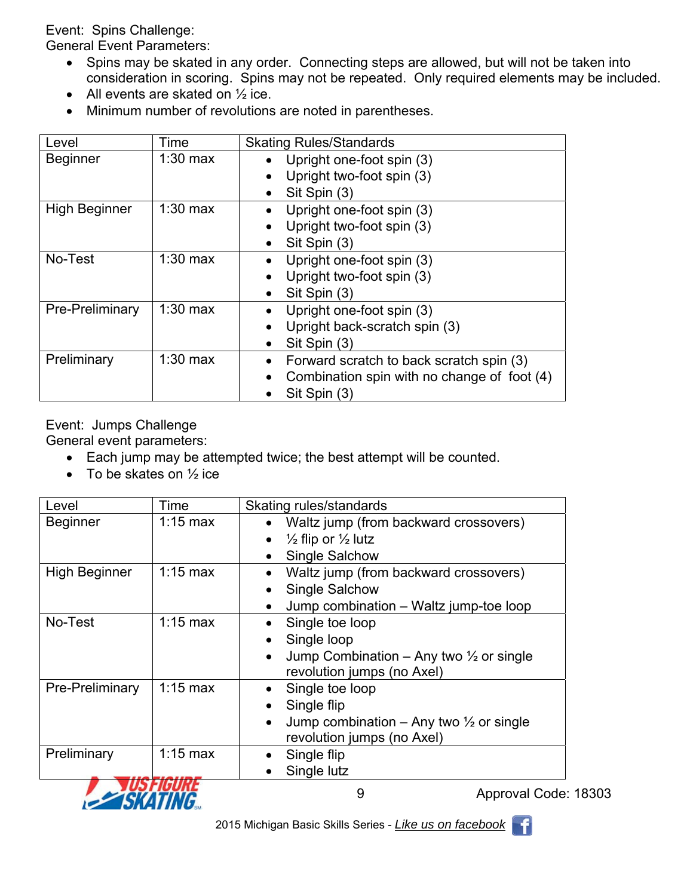Event: Spins Challenge:

General Event Parameters:

- Spins may be skated in any order. Connecting steps are allowed, but will not be taken into consideration in scoring. Spins may not be repeated. Only required elements may be included.
- All events are skated on  $\frac{1}{2}$  ice.
- Minimum number of revolutions are noted in parentheses.

| Level                | Time       | <b>Skating Rules/Standards</b>              |
|----------------------|------------|---------------------------------------------|
| <b>Beginner</b>      | $1:30$ max | Upright one-foot spin (3)                   |
|                      |            | Upright two-foot spin (3)                   |
|                      |            | Sit Spin (3)                                |
| <b>High Beginner</b> | $1:30$ max | Upright one-foot spin (3)                   |
|                      |            | Upright two-foot spin (3)                   |
|                      |            | Sit Spin (3)                                |
| No-Test              | $1:30$ max | Upright one-foot spin (3)                   |
|                      |            | Upright two-foot spin (3)                   |
|                      |            | Sit Spin (3)                                |
| Pre-Preliminary      | $1:30$ max | Upright one-foot spin (3)                   |
|                      |            | Upright back-scratch spin (3)               |
|                      |            | Sit Spin (3)                                |
| Preliminary          | $1:30$ max | Forward scratch to back scratch spin (3)    |
|                      |            | Combination spin with no change of foot (4) |
|                      |            | Sit Spin (3)                                |

Event: Jumps Challenge

General event parameters:

- Each jump may be attempted twice; the best attempt will be counted.
- $\bullet$  To be skates on  $\frac{1}{2}$  ice

| Level                | Time         | Skating rules/standards                                         |
|----------------------|--------------|-----------------------------------------------------------------|
| <b>Beginner</b>      | $1:15$ max   | Waltz jump (from backward crossovers)<br>$\bullet$              |
|                      |              | $\frac{1}{2}$ flip or $\frac{1}{2}$ lutz<br>$\bullet$           |
|                      |              | <b>Single Salchow</b>                                           |
| <b>High Beginner</b> | $1:15$ max   | Waltz jump (from backward crossovers)<br>$\bullet$              |
|                      |              | <b>Single Salchow</b><br>$\bullet$                              |
|                      |              | Jump combination - Waltz jump-toe loop                          |
| No-Test              | $1:15$ max   | Single toe loop                                                 |
|                      |              | Single loop                                                     |
|                      |              | Jump Combination – Any two $\frac{1}{2}$ or single<br>$\bullet$ |
|                      |              | revolution jumps (no Axel)                                      |
| Pre-Preliminary      | $1:15$ max   | Single toe loop                                                 |
|                      |              | Single flip                                                     |
|                      |              | Jump combination – Any two $\frac{1}{2}$ or single<br>$\bullet$ |
|                      |              | revolution jumps (no Axel)                                      |
| Preliminary          | $1:15$ max   | Single flip                                                     |
|                      | ilie Element | Single lutz                                                     |



9

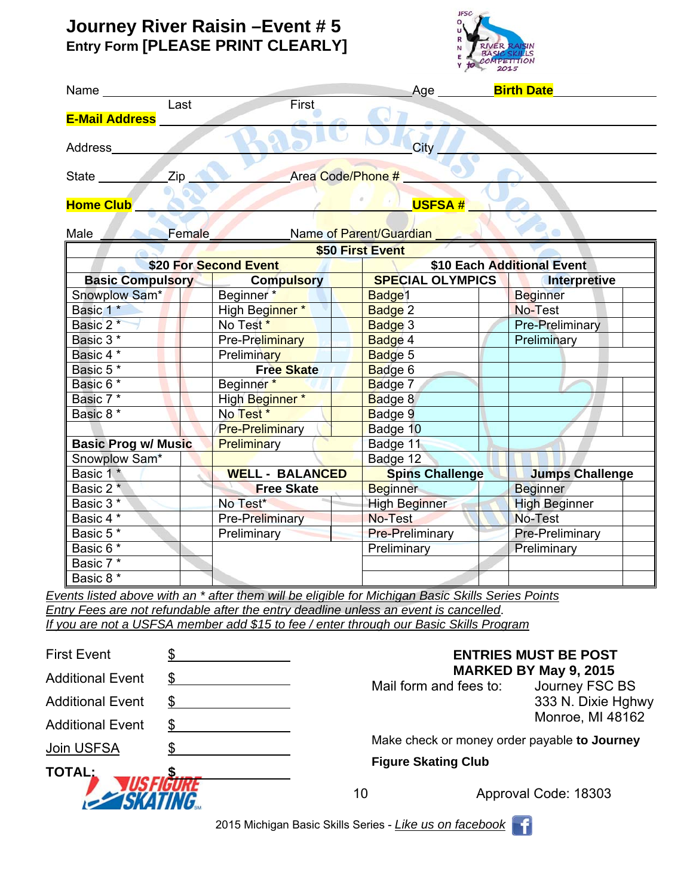## **Journey River Raisin –Event # 5 Entry Form [PLEASE PRINT CLEARLY]**



|                            |                          |                                    | Age _________ <mark>Birth Date</mark>                                                             |                            |  |
|----------------------------|--------------------------|------------------------------------|---------------------------------------------------------------------------------------------------|----------------------------|--|
|                            | $\overline{\text{Last}}$ | <b>First</b>                       |                                                                                                   |                            |  |
| <b>E-Mail Address</b>      |                          |                                    |                                                                                                   |                            |  |
| Address______              |                          |                                    | City _                                                                                            |                            |  |
|                            |                          |                                    | <b>Example 2 Area Code/Phone #</b>                                                                |                            |  |
| <b>Home Club</b>           |                          |                                    | <b>USFSA#</b>                                                                                     |                            |  |
| Male Female                |                          |                                    | Name of Parent/Guardian                                                                           |                            |  |
|                            |                          |                                    | \$50 First Event                                                                                  |                            |  |
|                            |                          | \$20 For Second Event              |                                                                                                   | \$10 Each Additional Event |  |
|                            |                          | <b>Basic Compulsory Compulsory</b> | SPECIAL OLYMPICS   Interpretive                                                                   |                            |  |
| Snowplow Sam*              |                          | Beginner <sup>*</sup>              | Badge1                                                                                            | <b>Beginner</b>            |  |
| Basic 1*                   |                          | High Beginner*                     | Badge 2                                                                                           | No-Test                    |  |
| Basic 2*                   |                          | No Test <sup>*</sup>               | Badge 3                                                                                           | Pre-Preliminary            |  |
| Basic 3*                   |                          | Pre-Preliminary                    | Badge 4                                                                                           | Preliminary                |  |
| Basic 4 *                  |                          | <b>Preliminary</b>                 | Badge 5                                                                                           |                            |  |
| Basic 5*                   |                          | <b>Free Skate</b>                  | Badge 6                                                                                           |                            |  |
| Basic 6 *                  |                          | Beginner*                          | Badge 7                                                                                           |                            |  |
| Basic 7 <sup>*</sup>       |                          | High Beginner*                     | Badge 8                                                                                           |                            |  |
| Basic 8 <sup>*</sup>       |                          | No Test *                          | Badge 9                                                                                           |                            |  |
|                            |                          | <b>Pre-Preliminary</b>             | Badge 10                                                                                          |                            |  |
| <b>Basic Prog w/ Music</b> |                          | Preliminary                        | Badge 11                                                                                          |                            |  |
| Snowplow Sam*              |                          |                                    | Badge 12                                                                                          |                            |  |
| Basic 1*                   |                          | <b>WELL - BALANCED</b>             | <b>Spins Challenge</b>                                                                            | <b>Jumps Challenge</b>     |  |
| Basic 2 <sup>*</sup>       |                          | <b>Example 2 Free Skate</b>        | <b>Beginner</b>                                                                                   | <b>Beginner</b>            |  |
| Basic 3 <sup>*</sup>       |                          | No Test*                           | <b>High Beginner</b>                                                                              | <b>High Beginner</b>       |  |
| Basic 4 *                  |                          | <b>Pre-Preliminary</b>             | No-Test                                                                                           | No-Test                    |  |
| Basic 5*                   |                          | <b>Preliminary</b>                 | <b>Pre-Preliminary</b>                                                                            | Pre-Preliminary            |  |
| Basic 6*                   |                          |                                    | Preliminary                                                                                       | Preliminary                |  |
| Basic 7*                   |                          |                                    |                                                                                                   |                            |  |
| Basic 8 *                  |                          |                                    |                                                                                                   |                            |  |
|                            |                          |                                    | Events listed above with an * after them will be eligible for Michigan Basic Skills Series Points |                            |  |

*If you are not a USFSA member add \$15 to fee / enter through our Basic Skills Program*

| <b>First Event</b>              |  | <b>ENTRIES MUST BE POST</b><br><b>MARKED BY May 9, 2015</b><br>Mail form and fees to:<br>Journey FSC BS |                      |                    |
|---------------------------------|--|---------------------------------------------------------------------------------------------------------|----------------------|--------------------|
| <b>Additional Event</b>         |  |                                                                                                         |                      |                    |
| <b>Additional Event</b>         |  |                                                                                                         |                      | 333 N. Dixie Hghwy |
| <b>Additional Event</b>         |  |                                                                                                         |                      | Monroe, MI 48162   |
| Join USFSA                      |  | Make check or money order payable to Journey                                                            |                      |                    |
| <b>TOTAL:</b><br><b>SKATING</b> |  | <b>Figure Skating Club</b>                                                                              |                      |                    |
|                                 |  | 10                                                                                                      | Approval Code: 18303 |                    |
|                                 |  |                                                                                                         |                      |                    |

2015 Michigan Basic Skills Series - *Like us on facebook* 

m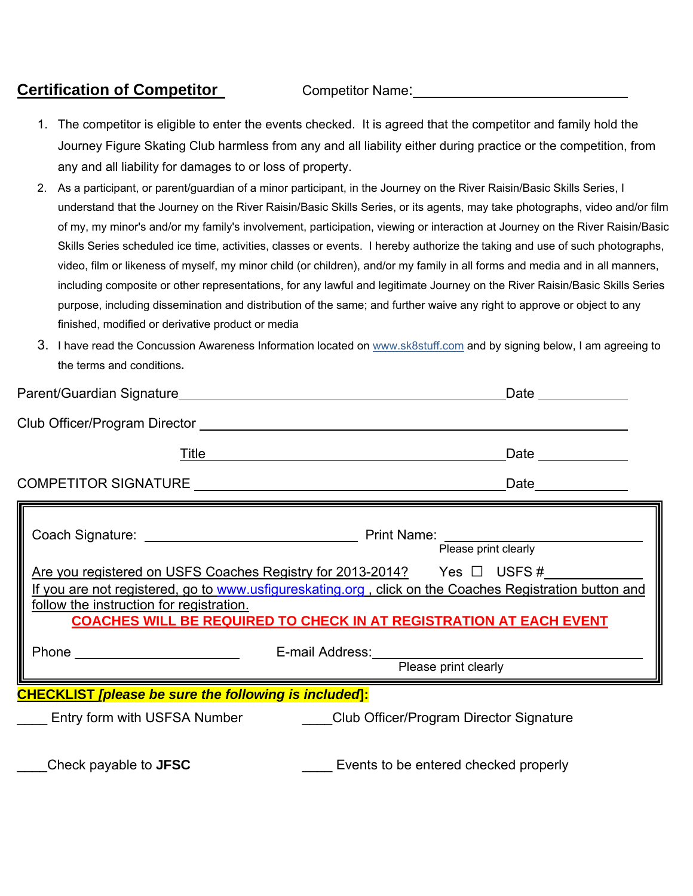## Certification of Competitor **Competitor** Competitor Name: 2008.

- 1. The competitor is eligible to enter the events checked. It is agreed that the competitor and family hold the Journey Figure Skating Club harmless from any and all liability either during practice or the competition, from any and all liability for damages to or loss of property.
- 2. As a participant, or parent/guardian of a minor participant, in the Journey on the River Raisin/Basic Skills Series, I understand that the Journey on the River Raisin/Basic Skills Series, or its agents, may take photographs, video and/or film of my, my minor's and/or my family's involvement, participation, viewing or interaction at Journey on the River Raisin/Basic Skills Series scheduled ice time, activities, classes or events. I hereby authorize the taking and use of such photographs, video, film or likeness of myself, my minor child (or children), and/or my family in all forms and media and in all manners, including composite or other representations, for any lawful and legitimate Journey on the River Raisin/Basic Skills Series purpose, including dissemination and distribution of the same; and further waive any right to approve or object to any finished, modified or derivative product or media
- 3. I have read the Concussion Awareness Information located on www.sk8stuff.com and by signing below, I am agreeing to the terms and conditions**.**

|                                                                                | Date and the state of the state of the state of the state of the state of the state of the state of the state o                                                                                                                                                     |  |  |  |
|--------------------------------------------------------------------------------|---------------------------------------------------------------------------------------------------------------------------------------------------------------------------------------------------------------------------------------------------------------------|--|--|--|
|                                                                                |                                                                                                                                                                                                                                                                     |  |  |  |
|                                                                                | <u>Title</u> <b>Example 2014</b>                                                                                                                                                                                                                                    |  |  |  |
|                                                                                |                                                                                                                                                                                                                                                                     |  |  |  |
|                                                                                | Please print clearly                                                                                                                                                                                                                                                |  |  |  |
| follow the instruction for registration.                                       | Are you registered on USFS Coaches Registry for 2013-2014? Yes $\Box$ USFS #<br>If you are not registered, go to www.usfigureskating.org, click on the Coaches Registration button and<br><b>COACHES WILL BE REQUIRED TO CHECK IN AT REGISTRATION AT EACH EVENT</b> |  |  |  |
|                                                                                | Please print clearly                                                                                                                                                                                                                                                |  |  |  |
| <b>CHECKLIST [please be sure the following is included]:</b>                   |                                                                                                                                                                                                                                                                     |  |  |  |
| Entry form with USFSA Number __________Club Officer/Program Director Signature |                                                                                                                                                                                                                                                                     |  |  |  |
| Check payable to <b>JFSC</b>                                                   | Events to be entered checked properly                                                                                                                                                                                                                               |  |  |  |